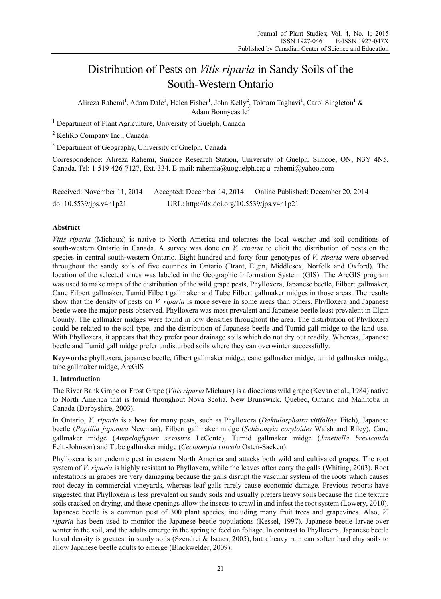# Distribution of Pests on *Vitis riparia* in Sandy Soils of the South-Western Ontario

Alireza Rahemi<sup>1</sup>, Adam Dale<sup>1</sup>, Helen Fisher<sup>1</sup>, John Kelly<sup>2</sup>, Toktam Taghavi<sup>1</sup>, Carol Singleton<sup>1</sup> & Adam Bonnycastle<sup>3</sup>

<sup>1</sup> Department of Plant Agriculture, University of Guelph, Canada

<sup>2</sup> KeliRo Company Inc., Canada

<sup>3</sup> Department of Geography, University of Guelph, Canada

Correspondence: Alireza Rahemi, Simcoe Research Station, University of Guelph, Simcoe, ON, N3Y 4N5, Canada. Tel: 1-519-426-7127, Ext. 334. E-mail: rahemia@uoguelph.ca; a\_rahemi@yahoo.com

Received: November 11, 2014 Accepted: December 14, 2014 Online Published: December 20, 2014 doi:10.5539/jps.v4n1p21 URL: http://dx.doi.org/10.5539/jps.v4n1p21

# **Abstract**

*Vitis riparia* (Michaux) is native to North America and tolerates the local weather and soil conditions of south**-**western Ontario in Canada. A survey was done on *V. riparia* to elicit the distribution of pests on the species in central south**-**western Ontario. Eight hundred and forty four genotypes of *V. riparia* were observed throughout the sandy soils of five counties in Ontario (Brant, Elgin, Middlesex, Norfolk and Oxford). The location of the selected vines was labeled in the Geographic Information System (GIS). The ArcGIS program was used to make maps of the distribution of the wild grape pests, Phylloxera, Japanese beetle, Filbert gallmaker, Cane Filbert gallmaker, Tumid Filbert gallmaker and Tube Filbert gallmaker midges in those areas. The results show that the density of pests on *V. riparia* is more severe in some areas than others. Phylloxera and Japanese beetle were the major pests observed. Phylloxera was most prevalent and Japanese beetle least prevalent in Elgin County. The gallmaker midges were found in low densities throughout the area. The distribution of Phylloxera could be related to the soil type, and the distribution of Japanese beetle and Tumid gall midge to the land use. With Phylloxera, it appears that they prefer poor drainage soils which do not dry out readily. Whereas, Japanese beetle and Tumid gall midge prefer undisturbed soils where they can overwinter successfully.

**Keywords:** phylloxera, japanese beetle, filbert gallmaker midge, cane gallmaker midge, tumid gallmaker midge, tube gallmaker midge, ArcGIS

## **1. Introduction**

The River Bank Grape or Frost Grape (*Vitis riparia* Michaux) is a dioecious wild grape (Kevan et al., 1984) native to North America that is found throughout Nova Scotia, New Brunswick, Quebec, Ontario and Manitoba in Canada (Darbyshire, 2003).

In Ontario, *V. riparia* is a host for many pests, such as Phylloxera (*Daktulosphaira vitifoliae* Fitch), Japanese beetle (*Popillia japonica* Newman), Filbert gallmaker midge (*Schizomyia coryloides* Walsh and Riley), Cane gallmaker midge (*Ampeloglypter sesostris* LeConte), Tumid gallmaker midge (*Janetiella brevicauda* Felt.**-**Johnson) and Tube gallmaker midge (*Cecidomyia viticola* Osten**-**Sacken).

Phylloxera is an endemic pest in eastern North America and attacks both wild and cultivated grapes. The root system of *V. riparia* is highly resistant to Phylloxera, while the leaves often carry the galls (Whiting, 2003). Root infestations in grapes are very damaging because the galls disrupt the vascular system of the roots which causes root decay in commercial vineyards, whereas leaf galls rarely cause economic damage. Previous reports have suggested that Phylloxera is less prevalent on sandy soils and usually prefers heavy soils because the fine texture soils cracked on drying, and these openings allow the insects to crawl in and infest the root system (Lowery, 2010). Japanese beetle is a common pest of 300 plant species, including many fruit trees and grapevines. Also, *V. riparia* has been used to monitor the Japanese beetle populations (Kessel, 1997). Japanese beetle larvae over winter in the soil, and the adults emerge in the spring to feed on foliage. In contrast to Phylloxera, Japanese beetle larval density is greatest in sandy soils (Szendrei & Isaacs, 2005), but a heavy rain can soften hard clay soils to allow Japanese beetle adults to emerge (Blackwelder, 2009).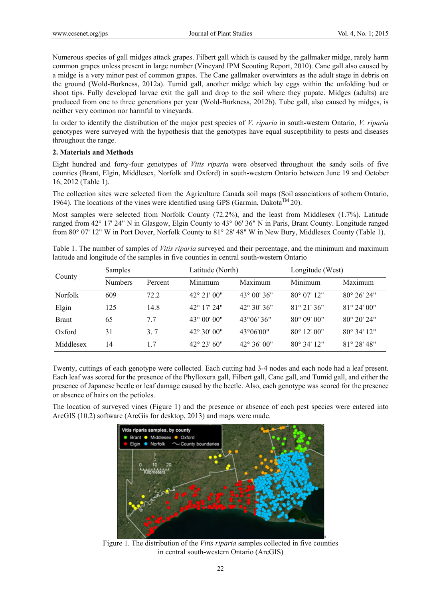Numerous species of gall midges attack grapes. Filbert gall which is caused by the gallmaker midge, rarely harm common grapes unless present in large number (Vineyard IPM Scouting Report, 2010). Cane gall also caused by a midge is a very minor pest of common grapes. The Cane gallmaker overwinters as the adult stage in debris on the ground (Wold-Burkness, 2012a). Tumid gall, another midge which lay eggs within the unfolding bud or shoot tips. Fully developed larvae exit the gall and drop to the soil where they pupate. Midges (adults) are produced from one to three generations per year (Wold-Burkness, 2012b). Tube gall, also caused by midges, is neither very common nor harmful to vineyards.

In order to identify the distribution of the major pest species of *V. riparia* in south**-**western Ontario, *V. riparia* genotypes were surveyed with the hypothesis that the genotypes have equal susceptibility to pests and diseases throughout the range.

# **2. Materials and Methods**

Eight hundred and forty-four genotypes of *Vitis riparia* were observed throughout the sandy soils of five counties (Brant, Elgin, Middlesex, Norfolk and Oxford) in south**-**western Ontario between June 19 and October 16, 2012 (Table 1).

The collection sites were selected from the Agriculture Canada soil maps (Soil associations of sothern Ontario, 1964). The locations of the vines were identified using GPS (Garmin, Dakota<sup>TM</sup> 20).

Most samples were selected from Norfolk County (72.2%), and the least from Middlesex (1.7%). Latitude ranged from 42° 17' 24" N in Glasgow, Elgin County to 43° 06' 36" N in Paris, Brant County. Longitude ranged from 80° 07' 12" W in Port Dover, Norfolk County to 81° 28' 48" W in New Bury, Middlesex County (Table 1).

Table 1. The number of samples of *Vitis riparia* surveyed and their percentage, and the minimum and maximum latitude and longitude of the samples in five counties in central south**-**western Ontario

| County       | Samples        |         | Latitude (North)       |                       | Longitude (West)      |                       |
|--------------|----------------|---------|------------------------|-----------------------|-----------------------|-----------------------|
|              | <b>Numbers</b> | Percent | Minimum                | Maximum               | Minimum               | Maximum               |
| Norfolk      | 609            | 72.2    | $42^{\circ} 21' 00''$  | $43^{\circ}$ 00' 36"  | $80^{\circ}$ 07' 12"  | $80^{\circ} 26' 24"$  |
| Elgin        | 125            | 14.8    | $42^{\circ}$ 17' $24"$ | $42^{\circ} 30' 36''$ | $81^{\circ} 21' 36''$ | $81^{\circ} 24' 00''$ |
| <b>Brant</b> | 65             | 7.7     | $43^{\circ}$ 00' 00"   | $43^{\circ}06'36''$   | $80^{\circ}$ 09' 00"  | $80^{\circ} 20' 24"$  |
| Oxford       | 31             | 3.7     | $42^{\circ} 30' 00''$  | $43^{\circ}06'00"$    | $80^{\circ}$ 12' 00"  | $80^{\circ}$ 34' 12"  |
| Middlesex    | 14             | 1.7     | $42^{\circ} 23' 60''$  | $42^{\circ} 36' 00''$ | $80^{\circ}$ 34' 12"  | 81° 28' 48"           |

Twenty, cuttings of each genotype were collected. Each cutting had 3-4 nodes and each node had a leaf present. Each leaf was scored for the presence of the Phylloxera gall, Filbert gall, Cane gall, and Tumid gall, and either the presence of Japanese beetle or leaf damage caused by the beetle. Also, each genotype was scored for the presence or absence of hairs on the petioles.

The location of surveyed vines (Figure 1) and the presence or absence of each pest species were entered into ArcGIS (10.2) software (ArcGis for desktop, 2013) and maps were made.



Figure 1. The distribution of the *Vitis riparia* samples collected in five counties in central south**-**western Ontario (ArcGIS)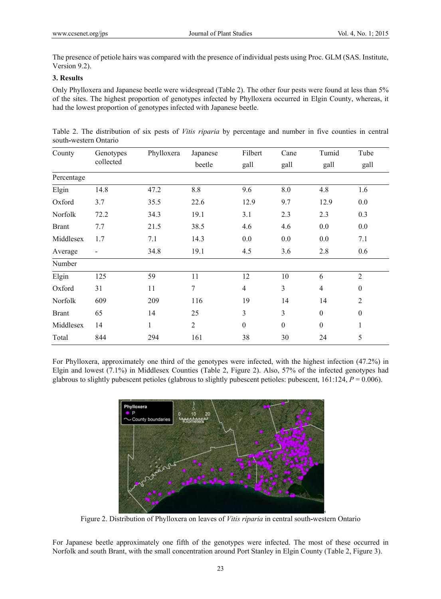The presence of petiole hairs was compared with the presence of individual pests using Proc. GLM (SAS. Institute, Version 9.2).

# **3. Results**

Only Phylloxera and Japanese beetle were widespread (Table 2). The other four pests were found at less than 5% of the sites. The highest proportion of genotypes infected by Phylloxera occurred in Elgin County, whereas, it had the lowest proportion of genotypes infected with Japanese beetle.

| County       | Genotypes<br>collected | Phylloxera   | Japanese       | Filbert          | Cane             | Tumid            | Tube             |
|--------------|------------------------|--------------|----------------|------------------|------------------|------------------|------------------|
|              |                        |              | beetle         | gall             | gall             | gall             | gall             |
| Percentage   |                        |              |                |                  |                  |                  |                  |
| Elgin        | 14.8                   | 47.2         | 8.8            | 9.6              | 8.0              | 4.8              | 1.6              |
| Oxford       | 3.7                    | 35.5         | 22.6           | 12.9             | 9.7              | 12.9             | 0.0              |
| Norfolk      | 72.2                   | 34.3         | 19.1           | 3.1              | 2.3              | 2.3              | 0.3              |
| <b>Brant</b> | 7.7                    | 21.5         | 38.5           | 4.6              | 4.6              | 0.0              | 0.0              |
| Middlesex    | 1.7                    | 7.1          | 14.3           | 0.0              | 0.0              | 0.0              | 7.1              |
| Average      |                        | 34.8         | 19.1           | 4.5              | 3.6              | 2.8              | 0.6              |
| Number       |                        |              |                |                  |                  |                  |                  |
| Elgin        | 125                    | 59           | 11             | 12               | 10               | 6                | $\overline{2}$   |
| Oxford       | 31                     | 11           | 7              | $\overline{4}$   | 3                | $\overline{4}$   | $\boldsymbol{0}$ |
| Norfolk      | 609                    | 209          | 116            | 19               | 14               | 14               | $\overline{c}$   |
| <b>Brant</b> | 65                     | 14           | 25             | 3                | 3                | $\boldsymbol{0}$ | $\boldsymbol{0}$ |
| Middlesex    | 14                     | $\mathbf{1}$ | $\overline{2}$ | $\boldsymbol{0}$ | $\boldsymbol{0}$ | $\boldsymbol{0}$ | $\mathbf{1}$     |
| Total        | 844                    | 294          | 161            | 38               | 30               | 24               | 5                |

Table 2. The distribution of six pests of *Vitis riparia* by percentage and number in five counties in central south**-**western Ontario

For Phylloxera, approximately one third of the genotypes were infected, with the highest infection (47.2%) in Elgin and lowest (7.1%) in Middlesex Counties (Table 2, Figure 2). Also, 57% of the infected genotypes had glabrous to slightly pubescent petioles (glabrous to slightly pubescent petioles: pubescent, 161:124, *P* = 0.006).



Figure 2. Distribution of Phylloxera on leaves of *Vitis riparia* in central south**-**western Ontario

For Japanese beetle approximately one fifth of the genotypes were infected. The most of these occurred in Norfolk and south Brant, with the small concentration around Port Stanley in Elgin County (Table 2, Figure 3).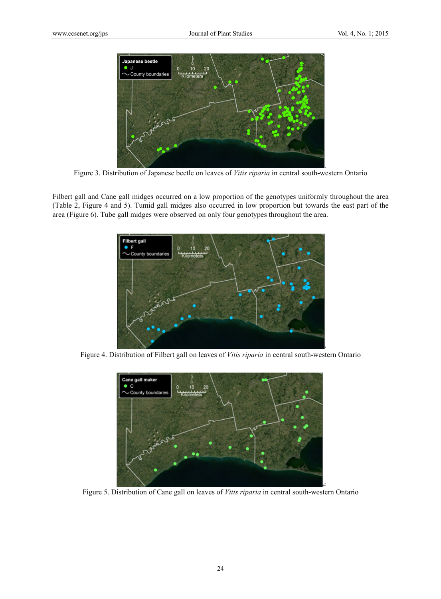

Figure 3. Distribution of Japanese beetle on leaves of *Vitis riparia* in central south**-**western Ontario

Filbert gall and Cane gall midges occurred on a low proportion of the genotypes uniformly throughout the area (Table 2, Figure 4 and 5). Tumid gall midges also occurred in low proportion but towards the east part of the area (Figure 6). Tube gall midges were observed on only four genotypes throughout the area.



Figure 4. Distribution of Filbert gall on leaves of *Vitis riparia* in central south**-**western Ontario



Figure 5. Distribution of Cane gall on leaves of *Vitis riparia* in central south**-**western Ontario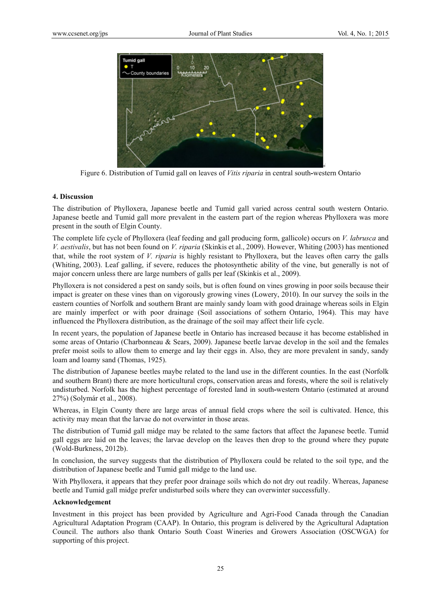

Figure 6. Distribution of Tumid gall on leaves of *Vitis riparia* in central south**-**western Ontario

## **4. Discussion**

The distribution of Phylloxera, Japanese beetle and Tumid gall varied across central south western Ontario. Japanese beetle and Tumid gall more prevalent in the eastern part of the region whereas Phylloxera was more present in the south of Elgin County.

The complete life cycle of Phylloxera (leaf feeding and gall producing form, gallicole) occurs on *V. labrusca* and *V. aestivalis*, but has not been found on *V. riparia* (Skinkis et al., 2009). However, Whiting (2003) has mentioned that, while the root system of *V. riparia* is highly resistant to Phylloxera, but the leaves often carry the galls (Whiting, 2003). Leaf galling, if severe, reduces the photosynthetic ability of the vine, but generally is not of major concern unless there are large numbers of galls per leaf (Skinkis et al., 2009).

Phylloxera is not considered a pest on sandy soils, but is often found on vines growing in poor soils because their impact is greater on these vines than on vigorously growing vines (Lowery, 2010). In our survey the soils in the eastern counties of Norfolk and southern Brant are mainly sandy loam with good drainage whereas soils in Elgin are mainly imperfect or with poor drainage (Soil associations of sothern Ontario, 1964). This may have influenced the Phylloxera distribution, as the drainage of the soil may affect their life cycle.

In recent years, the population of Japanese beetle in Ontario has increased because it has become established in some areas of Ontario (Charbonneau & Sears, 2009). Japanese beetle larvae develop in the soil and the females prefer moist soils to allow them to emerge and lay their eggs in. Also, they are more prevalent in sandy, sandy loam and loamy sand (Thomas, 1925).

The distribution of Japanese beetles maybe related to the land use in the different counties. In the east (Norfolk and southern Brant) there are more horticultural crops, conservation areas and forests, where the soil is relatively undisturbed. Norfolk has the highest percentage of forested land in south**-**western Ontario (estimated at around 27%) (Solymár et al., 2008).

Whereas, in Elgin County there are large areas of annual field crops where the soil is cultivated. Hence, this activity may mean that the larvae do not overwinter in those areas.

The distribution of Tumid gall midge may be related to the same factors that affect the Japanese beetle. Tumid gall eggs are laid on the leaves; the larvae develop on the leaves then drop to the ground where they pupate (Wold-Burkness, 2012b).

In conclusion, the survey suggests that the distribution of Phylloxera could be related to the soil type, and the distribution of Japanese beetle and Tumid gall midge to the land use.

With Phylloxera, it appears that they prefer poor drainage soils which do not dry out readily. Whereas, Japanese beetle and Tumid gall midge prefer undisturbed soils where they can overwinter successfully.

## **Acknowledgement**

Investment in this project has been provided by Agriculture and Agri-Food Canada through the Canadian Agricultural Adaptation Program (CAAP). In Ontario, this program is delivered by the Agricultural Adaptation Council. The authors also thank Ontario South Coast Wineries and Growers Association (OSCWGA) for supporting of this project.